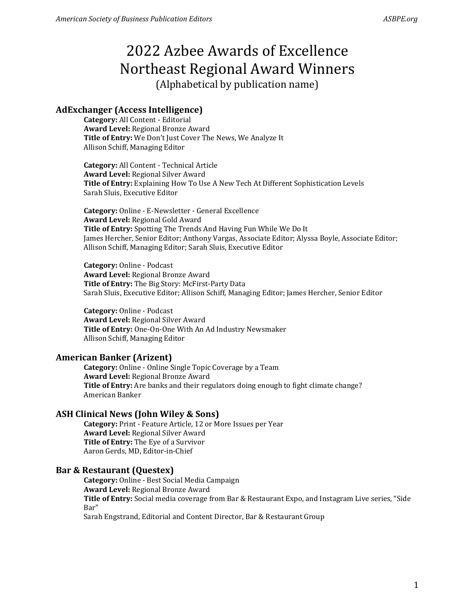## **AdExchanger (Access Intelligence)**

**Category:** All Content - Editorial **Award Level:** Regional Bronze Award **Title of Entry:** We Don't Just Cover The News, We Analyze It Allison Schiff, Managing Editor

**Category:** All Content - Technical Article **Award Level:** Regional Silver Award **Title of Entry:** Explaining How To Use A New Tech At Different Sophistication Levels Sarah Sluis, Executive Editor

**Category:** Online - E-Newsletter - General Excellence **Award Level:** Regional Gold Award **Title of Entry:** Spotting The Trends And Having Fun While We Do It James Hercher, Senior Editor; Anthony Vargas, Associate Editor; Alyssa Boyle, Associate Editor; Allison Schiff, Managing Editor; Sarah Sluis, Executive Editor

**Category:** Online - Podcast **Award Level:** Regional Bronze Award **Title of Entry:** The Big Story: McFirst-Party Data Sarah Sluis, Executive Editor; Allison Schiff, Managing Editor; James Hercher, Senior Editor

**Category:** Online - Podcast **Award Level:** Regional Silver Award **Title of Entry:** One-On-One With An Ad Industry Newsmaker Allison Schiff, Managing Editor

#### **American Banker (Arizent)**

**Category:** Online - Online Single Topic Coverage by a Team **Award Level:** Regional Bronze Award **Title of Entry:** Are banks and their regulators doing enough to fight climate change? American Banker

#### **ASH Clinical News (John Wiley & Sons)**

**Category:** Print - Feature Article, 12 or More Issues per Year **Award Level:** Regional Silver Award **Title of Entry:** The Eye of a Survivor Aaron Gerds, MD, Editor-in-Chief

#### **Bar & Restaurant (Questex)**

**Category:** Online - Best Social Media Campaign **Award Level:** Regional Bronze Award **Title of Entry:** Social media coverage from Bar & Restaurant Expo, and Instagram Live series, "Side Bar"

Sarah Engstrand, Editorial and Content Director, Bar & Restaurant Group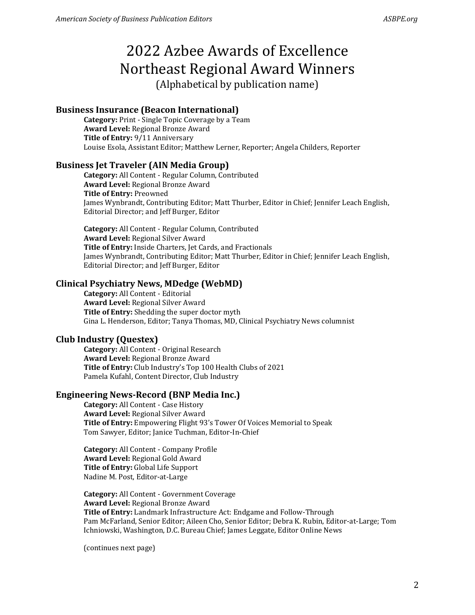#### **Business Insurance (Beacon International)**

**Category:** Print - Single Topic Coverage by a Team **Award Level:** Regional Bronze Award **Title of Entry:** 9/11 Anniversary Louise Esola, Assistant Editor; Matthew Lerner, Reporter; Angela Childers, Reporter

#### **Business Jet Traveler (AIN Media Group)**

**Category:** All Content - Regular Column, Contributed **Award Level:** Regional Bronze Award **Title of Entry:** Preowned James Wynbrandt, Contributing Editor; Matt Thurber, Editor in Chief; Jennifer Leach English, Editorial Director; and Jeff Burger, Editor

**Category:** All Content - Regular Column, Contributed **Award Level:** Regional Silver Award **Title of Entry:** Inside Charters, Jet Cards, and Fractionals James Wynbrandt, Contributing Editor; Matt Thurber, Editor in Chief; Jennifer Leach English, Editorial Director; and Jeff Burger, Editor

#### **Clinical Psychiatry News, MDedge (WebMD)**

**Category:** All Content - Editorial **Award Level:** Regional Silver Award **Title of Entry:** Shedding the super doctor myth Gina L. Henderson, Editor; Tanya Thomas, MD, Clinical Psychiatry News columnist

#### **Club Industry (Questex)**

**Category:** All Content - Original Research **Award Level:** Regional Bronze Award **Title of Entry:** Club Industry's Top 100 Health Clubs of 2021 Pamela Kufahl, Content Director, Club Industry

#### **Engineering News-Record (BNP Media Inc.)**

**Category:** All Content - Case History **Award Level:** Regional Silver Award **Title of Entry:** Empowering Flight 93's Tower Of Voices Memorial to Speak Tom Sawyer, Editor; Janice Tuchman, Editor-In-Chief

**Category:** All Content - Company Profile **Award Level:** Regional Gold Award **Title of Entry:** Global Life Support Nadine M. Post, Editor-at-Large

**Category:** All Content - Government Coverage **Award Level:** Regional Bronze Award **Title of Entry:** Landmark Infrastructure Act: Endgame and Follow-Through Pam McFarland, Senior Editor; Aileen Cho, Senior Editor; Debra K. Rubin, Editor-at-Large; Tom Ichniowski, Washington, D.C. Bureau Chief; James Leggate, Editor Online News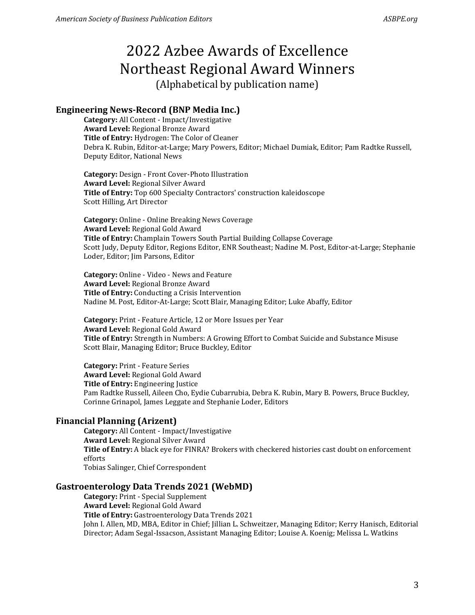# **Engineering News-Record (BNP Media Inc.)**

**Category:** All Content - Impact/Investigative **Award Level:** Regional Bronze Award **Title of Entry:** Hydrogen: The Color of Cleaner Debra K. Rubin, Editor-at-Large; Mary Powers, Editor; Michael Dumiak, Editor; Pam Radtke Russell, Deputy Editor, National News

**Category:** Design - Front Cover-Photo Illustration **Award Level:** Regional Silver Award **Title of Entry:** Top 600 Specialty Contractors' construction kaleidoscope Scott Hilling, Art Director

**Category:** Online - Online Breaking News Coverage **Award Level:** Regional Gold Award **Title of Entry:** Champlain Towers South Partial Building Collapse Coverage Scott Judy, Deputy Editor, Regions Editor, ENR Southeast; Nadine M. Post, Editor-at-Large; Stephanie Loder, Editor; Jim Parsons, Editor

**Category:** Online - Video - News and Feature **Award Level:** Regional Bronze Award **Title of Entry:** Conducting a Crisis Intervention Nadine M. Post, Editor-At-Large; Scott Blair, Managing Editor; Luke Abaffy, Editor

**Category:** Print - Feature Article, 12 or More Issues per Year **Award Level:** Regional Gold Award **Title of Entry:** Strength in Numbers: A Growing Effort to Combat Suicide and Substance Misuse Scott Blair, Managing Editor; Bruce Buckley, Editor

**Category:** Print - Feature Series **Award Level:** Regional Gold Award **Title of Entry:** Engineering Justice Pam Radtke Russell, Aileen Cho, Eydie Cubarrubia, Debra K. Rubin, Mary B. Powers, Bruce Buckley, Corinne Grinapol, James Leggate and Stephanie Loder, Editors

## **Financial Planning (Arizent)**

**Category:** All Content - Impact/Investigative **Award Level:** Regional Silver Award **Title of Entry:** A black eye for FINRA? Brokers with checkered histories cast doubt on enforcement efforts Tobias Salinger, Chief Correspondent

#### **Gastroenterology Data Trends 2021 (WebMD)**

**Category:** Print - Special Supplement **Award Level:** Regional Gold Award **Title of Entry:** Gastroenterology Data Trends 2021 John I. Allen, MD, MBA, Editor in Chief; Jillian L. Schweitzer, Managing Editor; Kerry Hanisch, Editorial Director; Adam Segal-Issacson, Assistant Managing Editor; Louise A. Koenig; Melissa L. Watkins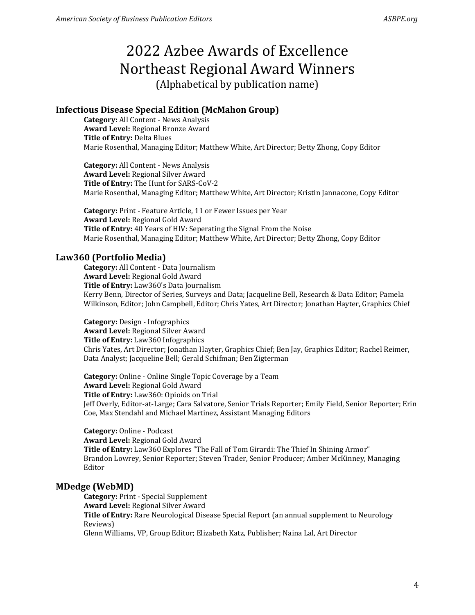# **Infectious Disease Special Edition (McMahon Group)**

**Category:** All Content - News Analysis **Award Level:** Regional Bronze Award **Title of Entry:** Delta Blues Marie Rosenthal, Managing Editor; Matthew White, Art Director; Betty Zhong, Copy Editor

**Category:** All Content - News Analysis **Award Level:** Regional Silver Award **Title of Entry:** The Hunt for SARS-CoV-2 Marie Rosenthal, Managing Editor; Matthew White, Art Director; Kristin Jannacone, Copy Editor

**Category:** Print - Feature Article, 11 or Fewer Issues per Year **Award Level:** Regional Gold Award **Title of Entry:** 40 Years of HIV: Seperating the Signal From the Noise Marie Rosenthal, Managing Editor; Matthew White, Art Director; Betty Zhong, Copy Editor

## **Law360 (Portfolio Media)**

**Category:** All Content - Data Journalism **Award Level:** Regional Gold Award **Title of Entry:** Law360's Data Journalism Kerry Benn, Director of Series, Surveys and Data; Jacqueline Bell, Research & Data Editor; Pamela Wilkinson, Editor; John Campbell, Editor; Chris Yates, Art Director; Jonathan Hayter, Graphics Chief

**Category:** Design - Infographics **Award Level:** Regional Silver Award **Title of Entry:** Law360 Infographics Chris Yates, Art Director; Jonathan Hayter, Graphics Chief; Ben Jay, Graphics Editor; Rachel Reimer, Data Analyst; Jacqueline Bell; Gerald Schifman; Ben Zigterman

**Category:** Online - Online Single Topic Coverage by a Team **Award Level:** Regional Gold Award **Title of Entry:** Law360: Opioids on Trial Jeff Overly, Editor-at-Large; Cara Salvatore, Senior Trials Reporter; Emily Field, Senior Reporter; Erin Coe, Max Stendahl and Michael Martinez, Assistant Managing Editors

**Category:** Online - Podcast **Award Level:** Regional Gold Award **Title of Entry:** Law360 Explores "The Fall of Tom Girardi: The Thief In Shining Armor" Brandon Lowrey, Senior Reporter; Steven Trader, Senior Producer; Amber McKinney, Managing Editor

## **MDedge (WebMD)**

**Category:** Print - Special Supplement **Award Level:** Regional Silver Award **Title of Entry:** Rare Neurological Disease Special Report (an annual supplement to Neurology Reviews)

Glenn Williams, VP, Group Editor; Elizabeth Katz, Publisher; Naina Lal, Art Director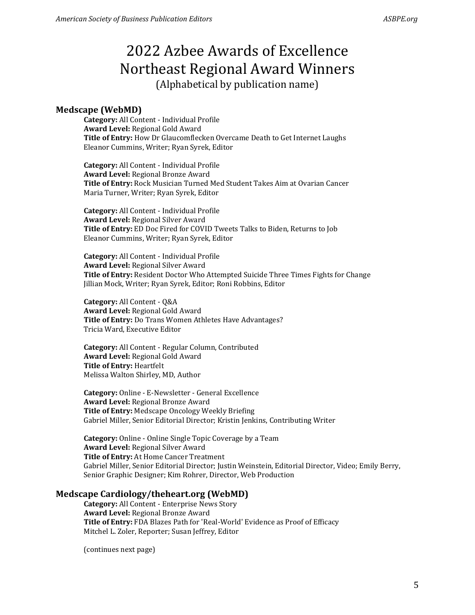#### **Medscape (WebMD)**

**Category:** All Content - Individual Profile **Award Level:** Regional Gold Award **Title of Entry:** How Dr Glaucomflecken Overcame Death to Get Internet Laughs Eleanor Cummins, Writer; Ryan Syrek, Editor

**Category:** All Content - Individual Profile **Award Level:** Regional Bronze Award **Title of Entry:** Rock Musician Turned Med Student Takes Aim at Ovarian Cancer Maria Turner, Writer; Ryan Syrek, Editor

**Category:** All Content - Individual Profile **Award Level:** Regional Silver Award **Title of Entry:** ED Doc Fired for COVID Tweets Talks to Biden, Returns to Job Eleanor Cummins, Writer; Ryan Syrek, Editor

**Category:** All Content - Individual Profile **Award Level:** Regional Silver Award **Title of Entry:** Resident Doctor Who Attempted Suicide Three Times Fights for Change Jillian Mock, Writer; Ryan Syrek, Editor; Roni Robbins, Editor

**Category:** All Content - Q&A **Award Level:** Regional Gold Award **Title of Entry:** Do Trans Women Athletes Have Advantages? Tricia Ward, Executive Editor

**Category:** All Content - Regular Column, Contributed **Award Level:** Regional Gold Award **Title of Entry:** Heartfelt Melissa Walton Shirley, MD, Author

**Category:** Online - E-Newsletter - General Excellence **Award Level:** Regional Bronze Award **Title of Entry:** Medscape Oncology Weekly Briefing Gabriel Miller, Senior Editorial Director; Kristin Jenkins, Contributing Writer

**Category:** Online - Online Single Topic Coverage by a Team **Award Level:** Regional Silver Award **Title of Entry:** At Home Cancer Treatment Gabriel Miller, Senior Editorial Director; Justin Weinstein, Editorial Director, Video; Emily Berry, Senior Graphic Designer; Kim Rohrer, Director, Web Production

#### **Medscape Cardiology/theheart.org (WebMD)**

**Category:** All Content - Enterprise News Story **Award Level:** Regional Bronze Award **Title of Entry:** FDA Blazes Path for 'Real-World' Evidence as Proof of Efficacy Mitchel L. Zoler, Reporter; Susan Jeffrey, Editor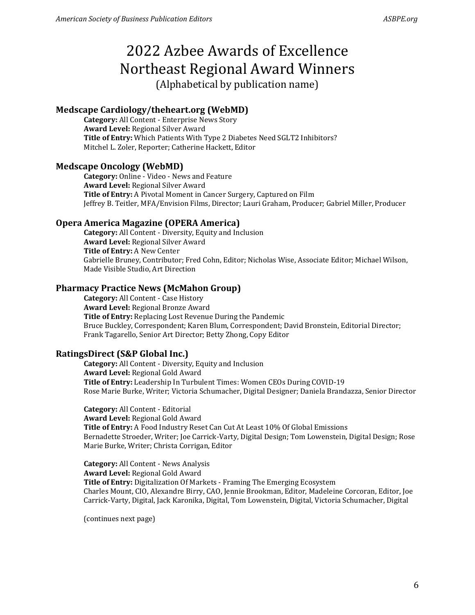# 2022 Azbee Awards of Excellence Northeast Regional Award Winners

(Alphabetical by publication name)

# **Medscape Cardiology/theheart.org (WebMD)**

**Category:** All Content - Enterprise News Story **Award Level:** Regional Silver Award **Title of Entry:** Which Patients With Type 2 Diabetes Need SGLT2 Inhibitors? Mitchel L. Zoler, Reporter; Catherine Hackett, Editor

# **Medscape Oncology (WebMD)**

**Category:** Online - Video - News and Feature **Award Level:** Regional Silver Award **Title of Entry:** A Pivotal Moment in Cancer Surgery, Captured on Film Jeffrey B. Teitler, MFA/Envision Films, Director; Lauri Graham, Producer; Gabriel Miller, Producer

# **Opera America Magazine (OPERA America)**

**Category:** All Content - Diversity, Equity and Inclusion **Award Level:** Regional Silver Award **Title of Entry:** A New Center Gabrielle Bruney, Contributor; Fred Cohn, Editor; Nicholas Wise, Associate Editor; Michael Wilson, Made Visible Studio, Art Direction

# **Pharmacy Practice News (McMahon Group)**

**Category:** All Content - Case History **Award Level:** Regional Bronze Award **Title of Entry:** Replacing Lost Revenue During the Pandemic Bruce Buckley, Correspondent; Karen Blum, Correspondent; David Bronstein, Editorial Director; Frank Tagarello, Senior Art Director; Betty Zhong, Copy Editor

# **RatingsDirect (S&P Global Inc.)**

**Category:** All Content - Diversity, Equity and Inclusion **Award Level:** Regional Gold Award **Title of Entry:** Leadership In Turbulent Times: Women CEOs During COVID-19 Rose Marie Burke, Writer; Victoria Schumacher, Digital Designer; Daniela Brandazza, Senior Director

**Category:** All Content - Editorial **Award Level:** Regional Gold Award **Title of Entry:** A Food Industry Reset Can Cut At Least 10% Of Global Emissions Bernadette Stroeder, Writer; Joe Carrick-Varty, Digital Design; Tom Lowenstein, Digital Design; Rose Marie Burke, Writer; Christa Corrigan, Editor

**Category:** All Content - News Analysis **Award Level:** Regional Gold Award **Title of Entry:** Digitalization Of Markets - Framing The Emerging Ecosystem Charles Mount, CIO, Alexandre Birry, CAO, Jennie Brookman, Editor, Madeleine Corcoran, Editor, Joe Carrick-Varty, Digital, Jack Karonika, Digital, Tom Lowenstein, Digital, Victoria Schumacher, Digital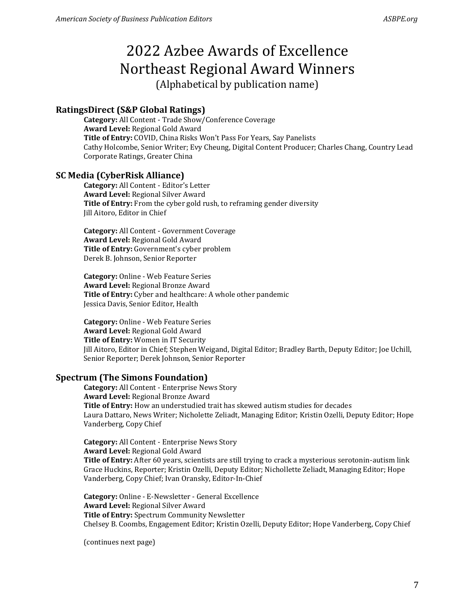# **RatingsDirect (S&P Global Ratings)**

**Category:** All Content - Trade Show/Conference Coverage **Award Level:** Regional Gold Award **Title of Entry:** COVID, China Risks Won't Pass For Years, Say Panelists Cathy Holcombe, Senior Writer; Evy Cheung, Digital Content Producer; Charles Chang, Country Lead Corporate Ratings, Greater China

## **SC Media (CyberRisk Alliance)**

**Category:** All Content - Editor's Letter **Award Level:** Regional Silver Award **Title of Entry:** From the cyber gold rush, to reframing gender diversity Jill Aitoro, Editor in Chief

**Category:** All Content - Government Coverage **Award Level:** Regional Gold Award **Title of Entry:** Government's cyber problem Derek B. Johnson, Senior Reporter

**Category:** Online - Web Feature Series **Award Level:** Regional Bronze Award **Title of Entry:** Cyber and healthcare: A whole other pandemic Jessica Davis, Senior Editor, Health

**Category:** Online - Web Feature Series **Award Level:** Regional Gold Award **Title of Entry:** Women in IT Security Jill Aitoro, Editor in Chief; Stephen Weigand, Digital Editor; Bradley Barth, Deputy Editor; Joe Uchill, Senior Reporter; Derek Johnson, Senior Reporter

## **Spectrum (The Simons Foundation)**

**Category:** All Content - Enterprise News Story **Award Level:** Regional Bronze Award **Title of Entry:** How an understudied trait has skewed autism studies for decades Laura Dattaro, News Writer; Nicholette Zeliadt, Managing Editor; Kristin Ozelli, Deputy Editor; Hope Vanderberg, Copy Chief

**Category:** All Content - Enterprise News Story **Award Level:** Regional Gold Award **Title of Entry:** After 60 years, scientists are still trying to crack a mysterious serotonin-autism link Grace Huckins, Reporter; Kristin Ozelli, Deputy Editor; Nichollette Zeliadt, Managing Editor; Hope Vanderberg, Copy Chief; Ivan Oransky, Editor-In-Chief

**Category:** Online - E-Newsletter - General Excellence **Award Level:** Regional Silver Award **Title of Entry:** Spectrum Community Newsletter Chelsey B. Coombs, Engagement Editor; Kristin Ozelli, Deputy Editor; Hope Vanderberg, Copy Chief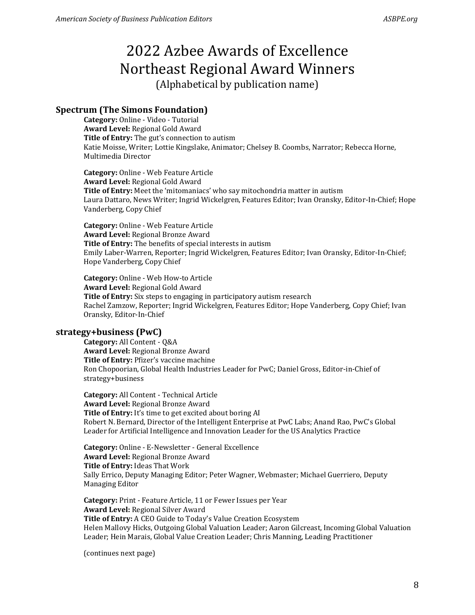# **Spectrum (The Simons Foundation)**

**Category:** Online - Video - Tutorial **Award Level:** Regional Gold Award **Title of Entry:** The gut's connection to autism Katie Moisse, Writer; Lottie Kingslake, Animator; Chelsey B. Coombs, Narrator; Rebecca Horne, Multimedia Director

**Category:** Online - Web Feature Article **Award Level:** Regional Gold Award **Title of Entry:** Meet the 'mitomaniacs' who say mitochondria matter in autism Laura Dattaro, News Writer; Ingrid Wickelgren, Features Editor; Ivan Oransky, Editor-In-Chief; Hope Vanderberg, Copy Chief

**Category:** Online - Web Feature Article **Award Level:** Regional Bronze Award **Title of Entry:** The benefits of special interests in autism Emily Laber-Warren, Reporter; Ingrid Wickelgren, Features Editor; Ivan Oransky, Editor-In-Chief; Hope Vanderberg, Copy Chief

**Category:** Online - Web How-to Article **Award Level:** Regional Gold Award **Title of Entry:** Six steps to engaging in participatory autism research Rachel Zamzow, Reporter; Ingrid Wickelgren, Features Editor; Hope Vanderberg, Copy Chief; Ivan Oransky, Editor-In-Chief

## **strategy+business (PwC)**

**Category:** All Content - Q&A **Award Level:** Regional Bronze Award **Title of Entry:** Pfizer's vaccine machine Ron Chopoorian, Global Health Industries Leader for PwC; Daniel Gross, Editor-in-Chief of strategy+business

**Category:** All Content - Technical Article **Award Level:** Regional Bronze Award **Title of Entry:** It's time to get excited about boring AI Robert N. Bernard, Director of the Intelligent Enterprise at PwC Labs; Anand Rao, PwC's Global Leader for Artificial Intelligence and Innovation Leader for the US Analytics Practice

**Category:** Online - E-Newsletter - General Excellence **Award Level:** Regional Bronze Award **Title of Entry:** Ideas That Work Sally Errico, Deputy Managing Editor; Peter Wagner, Webmaster; Michael Guerriero, Deputy Managing Editor

**Category:** Print - Feature Article, 11 or Fewer Issues per Year **Award Level:** Regional Silver Award **Title of Entry:** A CEO Guide to Today's Value Creation Ecosystem Helen Mallovy Hicks, Outgoing Global Valuation Leader; Aaron Gilcreast, Incoming Global Valuation Leader; Hein Marais, Global Value Creation Leader; Chris Manning, Leading Practitioner